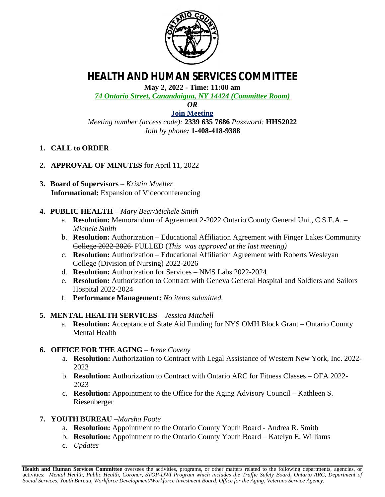

# **HEALTH AND HUMAN SERVICES COMMITTEE**

**May 2, 2022 - Time: 11:00 am**

*74 Ontario Street, Canandaigua, NY 14424 (Committee Room)*

*OR*

**[Join Meeting](https://ontariocountyny.webex.com/)** *Meeting number (access code):* **2339 635 7686** *Password:* **HHS2022** *Join by phone:* **1-408-418-9388**

- **1. CALL to ORDER**
- **2. APPROVAL OF MINUTES** for April 11, 2022
- **3. Board of Supervisors** *Kristin Mueller* **Informational:** Expansion of Videoconferencing
- **4. PUBLIC HEALTH –** *Mary Beer/Michele Smith*
	- a. **Resolution:** Memorandum of Agreement 2-2022 Ontario County General Unit, C.S.E.A. *Michele Smith*
	- b. **Resolution:** Authorization Educational Affiliation Agreement with Finger Lakes Community College 2022-2026 PULLED (*This was approved at the last meeting)*
	- c. **Resolution:** Authorization Educational Affiliation Agreement with Roberts Wesleyan College (Division of Nursing) 2022-2026
	- d. **Resolution:** Authorization for Services NMS Labs 2022-2024
	- e. **Resolution:** Authorization to Contract with Geneva General Hospital and Soldiers and Sailors Hospital 2022-2024
	- f. **Performance Management:** *No items submitted.*

### **5. MENTAL HEALTH SERVICES** – *Jessica Mitchell*

a. **Resolution:** Acceptance of State Aid Funding for NYS OMH Block Grant – Ontario County Mental Health

### **6. OFFICE FOR THE AGING** *– Irene Coveny*

- a. **Resolution:** Authorization to Contract with Legal Assistance of Western New York, Inc. 2022- 2023
- b. **Resolution:** Authorization to Contract with Ontario ARC for Fitness Classes OFA 2022- 2023
- c. **Resolution:** Appointment to the Office for the Aging Advisory Council Kathleen S. Riesenberger
- **7. YOUTH BUREAU –***Marsha Foote*
	- a. **Resolution:** Appointment to the Ontario County Youth Board Andrea R. Smith
	- b. **Resolution:** Appointment to the Ontario County Youth Board Katelyn E. Williams
	- c. *Updates*